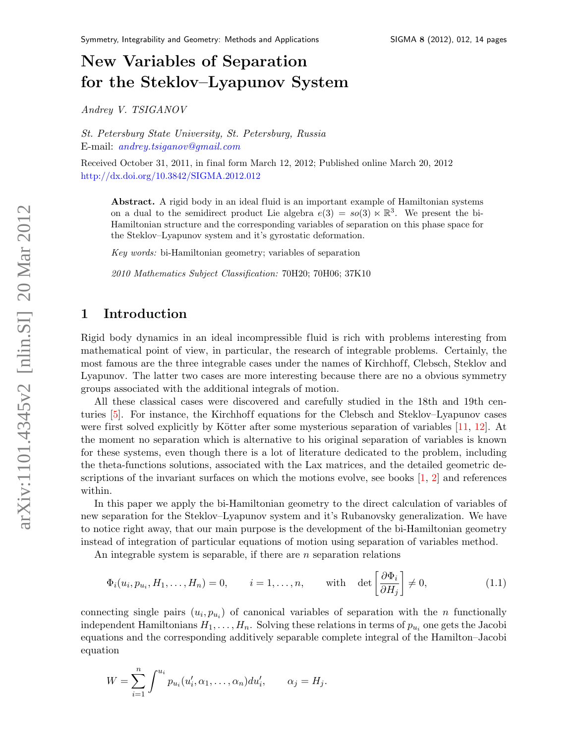# New Variables of Separation for the Steklov–Lyapunov System

Andrey V. TSIGANOV

St. Petersburg State University, St. Petersburg, Russia E-mail: [andrey.tsiganov@gmail.com](mailto:andrey.tsiganov@gmail.com)

Received October 31, 2011, in final form March 12, 2012; Published online March 20, 2012 <http://dx.doi.org/10.3842/SIGMA.2012.012>

Abstract. A rigid body in an ideal fluid is an important example of Hamiltonian systems on a dual to the semidirect product Lie algebra  $e(3) = so(3) \ltimes \mathbb{R}^3$ . We present the bi-Hamiltonian structure and the corresponding variables of separation on this phase space for the Steklov–Lyapunov system and it's gyrostatic deformation.

Key words: bi-Hamiltonian geometry; variables of separation

2010 Mathematics Subject Classification: 70H20; 70H06; 37K10

## 1 Introduction

Rigid body dynamics in an ideal incompressible fluid is rich with problems interesting from mathematical point of view, in particular, the research of integrable problems. Certainly, the most famous are the three integrable cases under the names of Kirchhoff, Clebsch, Steklov and Lyapunov. The latter two cases are more interesting because there are no a obvious symmetry groups associated with the additional integrals of motion.

All these classical cases were discovered and carefully studied in the 18th and 19th centuries  $[5]$ . For instance, the Kirchhoff equations for the Clebsch and Steklov–Lyapunov cases were first solved explicitly by Kötter after some mysterious separation of variables  $[11, 12]$  $[11, 12]$  $[11, 12]$ . At the moment no separation which is alternative to his original separation of variables is known for these systems, even though there is a lot of literature dedicated to the problem, including the theta-functions solutions, associated with the Lax matrices, and the detailed geometric descriptions of the invariant surfaces on which the motions evolve, see books  $\left[1, 2\right]$  $\left[1, 2\right]$  $\left[1, 2\right]$  and references within.

In this paper we apply the bi-Hamiltonian geometry to the direct calculation of variables of new separation for the Steklov–Lyapunov system and it's Rubanovsky generalization. We have to notice right away, that our main purpose is the development of the bi-Hamiltonian geometry instead of integration of particular equations of motion using separation of variables method.

An integrable system is separable, if there are  $n$  separation relations

<span id="page-0-0"></span>
$$
\Phi_i(u_i, p_{u_i}, H_1, \dots, H_n) = 0, \qquad i = 1, \dots, n, \qquad \text{with} \quad \det\left[\frac{\partial \Phi_i}{\partial H_j}\right] \neq 0,
$$
\n(1.1)

connecting single pairs  $(u_i, p_{u_i})$  of canonical variables of separation with the *n* functionally independent Hamiltonians  $H_1, \ldots, H_n$ . Solving these relations in terms of  $p_{u_i}$  one gets the Jacobi equations and the corresponding additively separable complete integral of the Hamilton–Jacobi equation

$$
W = \sum_{i=1}^n \int^{u_i} p_{u_i}(u'_i, \alpha_1, \dots, \alpha_n) du'_i, \qquad \alpha_j = H_j.
$$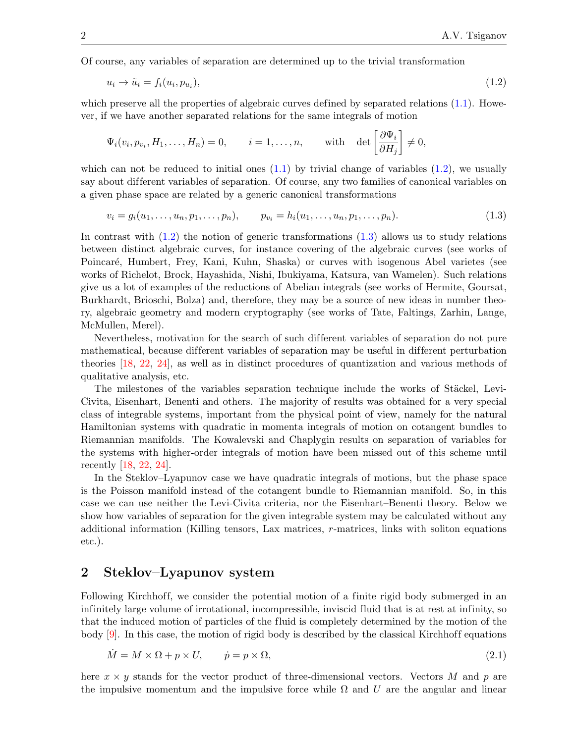Of course, any variables of separation are determined up to the trivial transformation

<span id="page-1-0"></span>
$$
u_i \to \tilde{u}_i = f_i(u_i, p_{u_i}), \tag{1.2}
$$

which preserve all the properties of algebraic curves defined by separated relations  $(1.1)$ . However, if we have another separated relations for the same integrals of motion

$$
\Psi_i(v_i, p_{v_i}, H_1, \dots, H_n) = 0, \quad i = 1, \dots, n, \quad \text{with} \quad \det \left[ \frac{\partial \Psi_i}{\partial H_j} \right] \neq 0,
$$

which can not be reduced to initial ones  $(1.1)$  by trivial change of variables  $(1.2)$ , we usually say about dif ferent variables of separation. Of course, any two families of canonical variables on a given phase space are related by a generic canonical transformations

<span id="page-1-1"></span>
$$
v_i = g_i(u_1, \dots, u_n, p_1, \dots, p_n), \qquad p_{v_i} = h_i(u_1, \dots, u_n, p_1, \dots, p_n).
$$
\n(1.3)

In contrast with  $(1.2)$  the notion of generic transformations  $(1.3)$  allows us to study relations between distinct algebraic curves, for instance covering of the algebraic curves (see works of Poincaré, Humbert, Frey, Kani, Kuhn, Shaska) or curves with isogenous Abel varietes (see works of Richelot, Brock, Hayashida, Nishi, Ibukiyama, Katsura, van Wamelen). Such relations give us a lot of examples of the reductions of Abelian integrals (see works of Hermite, Goursat, Burkhardt, Brioschi, Bolza) and, therefore, they may be a source of new ideas in number theory, algebraic geometry and modern cryptography (see works of Tate, Faltings, Zarhin, Lange, McMullen, Merel).

Nevertheless, motivation for the search of such dif ferent variables of separation do not pure mathematical, because different variables of separation may be useful in different perturbation theories [\[18,](#page-13-2) [22,](#page-13-3) [24\]](#page-13-4), as well as in distinct procedures of quantization and various methods of qualitative analysis, etc.

The milestones of the variables separation technique include the works of Stäckel, Levi-Civita, Eisenhart, Benenti and others. The majority of results was obtained for a very special class of integrable systems, important from the physical point of view, namely for the natural Hamiltonian systems with quadratic in momenta integrals of motion on cotangent bundles to Riemannian manifolds. The Kowalevski and Chaplygin results on separation of variables for the systems with higher-order integrals of motion have been missed out of this scheme until recently [\[18,](#page-13-2) [22,](#page-13-3) [24\]](#page-13-4).

In the Steklov–Lyapunov case we have quadratic integrals of motions, but the phase space is the Poisson manifold instead of the cotangent bundle to Riemannian manifold. So, in this case we can use neither the Levi-Civita criteria, nor the Eisenhart–Benenti theory. Below we show how variables of separation for the given integrable system may be calculated without any additional information (Killing tensors, Lax matrices, r-matrices, links with soliton equations etc.).

### 2 Steklov–Lyapunov system

Following Kirchhoff, we consider the potential motion of a finite rigid body submerged in an infinitely large volume of irrotational, incompressible, inviscid fluid that is at rest at infinity, so that the induced motion of particles of the fluid is completely determined by the motion of the body  $[9]$ . In this case, the motion of rigid body is described by the classical Kirchhoff equations

<span id="page-1-2"></span>
$$
\dot{M} = M \times \Omega + p \times U, \qquad \dot{p} = p \times \Omega,
$$
\n(2.1)

here  $x \times y$  stands for the vector product of three-dimensional vectors. Vectors M and p are the impulsive momentum and the impulsive force while  $\Omega$  and U are the angular and linear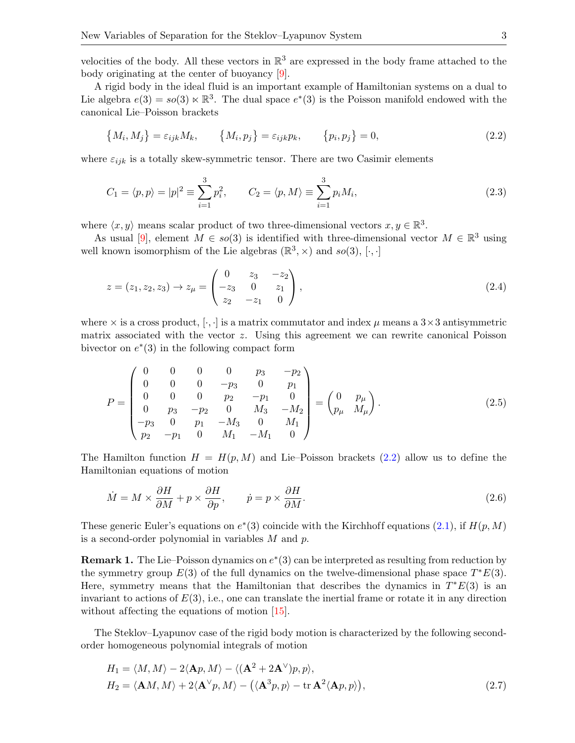velocities of the body. All these vectors in  $\mathbb{R}^3$  are expressed in the body frame attached to the body originating at the center of buoyancy [\[9\]](#page-12-3).

A rigid body in the ideal fluid is an important example of Hamiltonian systems on a dual to Lie algebra  $e(3) = so(3) \ltimes \mathbb{R}^3$ . The dual space  $e^*(3)$  is the Poisson manifold endowed with the canonical Lie–Poisson brackets

<span id="page-2-0"></span>
$$
\{M_i, M_j\} = \varepsilon_{ijk} M_k, \qquad \{M_i, p_j\} = \varepsilon_{ijk} p_k, \qquad \{p_i, p_j\} = 0,
$$
\n(2.2)

where  $\varepsilon_{ijk}$  is a totally skew-symmetric tensor. There are two Casimir elements

<span id="page-2-2"></span>
$$
C_1 = \langle p, p \rangle = |p|^2 \equiv \sum_{i=1}^3 p_i^2, \qquad C_2 = \langle p, M \rangle \equiv \sum_{i=1}^3 p_i M_i,
$$
\n(2.3)

where  $\langle x, y \rangle$  means scalar product of two three-dimensional vectors  $x, y \in \mathbb{R}^3$ .

As usual [\[9\]](#page-12-3), element  $M \in so(3)$  is identified with three-dimensional vector  $M \in \mathbb{R}^3$  using well known isomorphism of the Lie algebras  $(\mathbb{R}^3, \times)$  and  $so(3), [\cdot, \cdot]$ 

<span id="page-2-3"></span>
$$
z = (z_1, z_2, z_3) \rightarrow z_{\mu} = \begin{pmatrix} 0 & z_3 & -z_2 \\ -z_3 & 0 & z_1 \\ z_2 & -z_1 & 0 \end{pmatrix},
$$
\n(2.4)

where  $\times$  is a cross product,  $[\cdot, \cdot]$  is a matrix commutator and index  $\mu$  means a  $3\times 3$  antisymmetric matrix associated with the vector z. Using this agreement we can rewrite canonical Poisson bivector on  $e^*(3)$  in the following compact form

$$
P = \begin{pmatrix} 0 & 0 & 0 & 0 & p_3 & -p_2 \\ 0 & 0 & 0 & -p_3 & 0 & p_1 \\ 0 & 0 & 0 & p_2 & -p_1 & 0 \\ 0 & p_3 & -p_2 & 0 & M_3 & -M_2 \\ -p_3 & 0 & p_1 & -M_3 & 0 & M_1 \\ p_2 & -p_1 & 0 & M_1 & -M_1 & 0 \end{pmatrix} = \begin{pmatrix} 0 & p_\mu \\ p_\mu & M_\mu \end{pmatrix}.
$$
 (2.5)

The Hamilton function  $H = H(p, M)$  and Lie–Poisson brackets [\(2.2\)](#page-2-0) allow us to define the Hamiltonian equations of motion

$$
\dot{M} = M \times \frac{\partial H}{\partial M} + p \times \frac{\partial H}{\partial p}, \qquad \dot{p} = p \times \frac{\partial H}{\partial M}.
$$
\n(2.6)

These generic Euler's equations on  $e^*(3)$  coincide with the Kirchhoff equations [\(2.1\)](#page-1-2), if  $H(p,M)$ is a second-order polynomial in variables  $M$  and  $p$ .

**Remark 1.** The Lie–Poisson dynamics on  $e^*(3)$  can be interpreted as resulting from reduction by the symmetry group  $E(3)$  of the full dynamics on the twelve-dimensional phase space  $T^*E(3)$ . Here, symmetry means that the Hamiltonian that describes the dynamics in  $T^*E(3)$  is an invariant to actions of  $E(3)$ , i.e., one can translate the inertial frame or rotate it in any direction without affecting the equations of motion  $[15]$ .

The Steklov–Lyapunov case of the rigid body motion is characterized by the following secondorder homogeneous polynomial integrals of motion

<span id="page-2-1"></span>
$$
H_1 = \langle M, M \rangle - 2\langle \mathbf{A}p, M \rangle - \langle (\mathbf{A}^2 + 2\mathbf{A}^\vee)p, p \rangle,
$$
  
\n
$$
H_2 = \langle \mathbf{A}M, M \rangle + 2\langle \mathbf{A}^\vee p, M \rangle - \langle (\mathbf{A}^3p, p) - \text{tr}\,\mathbf{A}^2 \langle \mathbf{A}p, p \rangle),
$$
\n(2.7)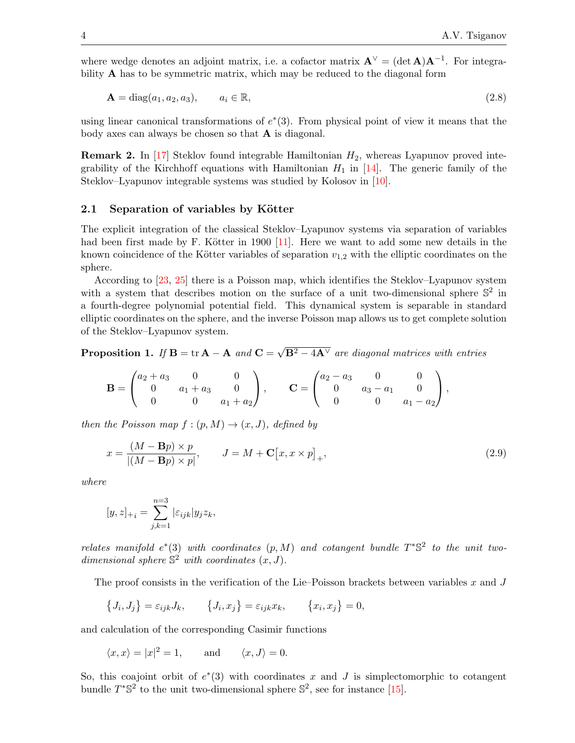where wedge denotes an adjoint matrix, i.e. a cofactor matrix  $\mathbf{A}^{\vee} = (\det \mathbf{A})\mathbf{A}^{-1}$ . For integrability A has to be symmetric matrix, which may be reduced to the diagonal form

$$
\mathbf{A} = \text{diag}(a_1, a_2, a_3), \qquad a_i \in \mathbb{R}, \tag{2.8}
$$

using linear canonical transformations of  $e^*(3)$ . From physical point of view it means that the body axes can always be chosen so that A is diagonal.

**Remark 2.** In [\[17\]](#page-13-6) Steklov found integrable Hamiltonian  $H_2$ , whereas Lyapunov proved integrability of the Kirchhoff equations with Hamiltonian  $H_1$  in [\[14\]](#page-13-7). The generic family of the Steklov–Lyapunov integrable systems was studied by Kolosov in [\[10\]](#page-12-4).

#### 2.1 Separation of variables by Kötter

The explicit integration of the classical Steklov–Lyapunov systems via separation of variables had been first made by F. Kötter in 1900  $[11]$ . Here we want to add some new details in the known coincidence of the Kötter variables of separation  $v_{1,2}$  with the elliptic coordinates on the sphere.

According to [\[23,](#page-13-8) [25\]](#page-13-9) there is a Poisson map, which identifies the Steklov–Lyapunov system with a system that describes motion on the surface of a unit two-dimensional sphere  $\mathbb{S}^2$  in a fourth-degree polynomial potential field. This dynamical system is separable in standard elliptic coordinates on the sphere, and the inverse Poisson map allows us to get complete solution of the Steklov–Lyapunov system.

Proposition 1. If  $B = tr A - A$  and  $C =$ √  $\overline{{\bf B}^2-4{\bf A}^\vee}$  are diagonal matrices with entries

$$
\mathbf{B} = \begin{pmatrix} a_2 + a_3 & 0 & 0 \\ 0 & a_1 + a_3 & 0 \\ 0 & 0 & a_1 + a_2 \end{pmatrix}, \qquad \mathbf{C} = \begin{pmatrix} a_2 - a_3 & 0 & 0 \\ 0 & a_3 - a_1 & 0 \\ 0 & 0 & a_1 - a_2 \end{pmatrix},
$$

then the Poisson map  $f:(p,M) \rightarrow (x, J)$ , defined by

<span id="page-3-0"></span>
$$
x = \frac{(M - \mathbf{B}p) \times p}{|(M - \mathbf{B}p) \times p|}, \qquad J = M + \mathbf{C}[x, x \times p]_+, \tag{2.9}
$$

where

$$
[y, z]_{+i} = \sum_{j,k=1}^{n=3} |\varepsilon_{ijk}| y_j z_k,
$$

relates manifold  $e^*(3)$  with coordinates  $(p, M)$  and cotangent bundle  $T^* \mathbb{S}^2$  to the unit twodimensional sphere  $\mathbb{S}^2$  with coordinates  $(x, J)$ .

The proof consists in the verification of the Lie–Poisson brackets between variables  $x$  and  $J$ 

$$
\{J_i, J_j\} = \varepsilon_{ijk} J_k, \qquad \{J_i, x_j\} = \varepsilon_{ijk} x_k, \qquad \{x_i, x_j\} = 0,
$$

and calculation of the corresponding Casimir functions

$$
\langle x, x \rangle = |x|^2 = 1
$$
, and  $\langle x, J \rangle = 0$ .

So, this coajoint orbit of  $e^*(3)$  with coordinates x and J is simplectomorphic to cotangent bundle  $T^* \mathbb{S}^2$  to the unit two-dimensional sphere  $\mathbb{S}^2$ , see for instance [\[15\]](#page-13-5).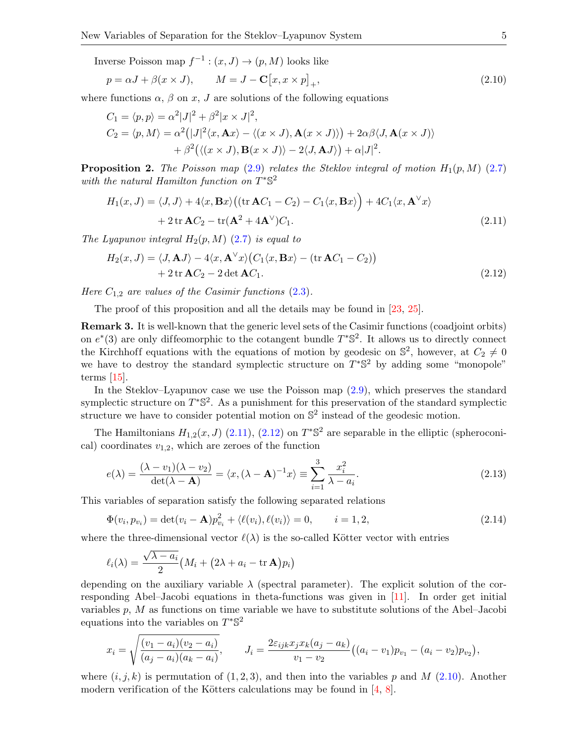Inverse Poisson map  $f^{-1}$ :  $(x, J) \rightarrow (p, M)$  looks like

<span id="page-4-2"></span>
$$
p = \alpha J + \beta(x \times J), \qquad M = J - \mathbf{C}[x, x \times p]_+, \tag{2.10}
$$

where functions  $\alpha$ ,  $\beta$  on x, J are solutions of the following equations

$$
C_1 = \langle p, p \rangle = \alpha^2 |J|^2 + \beta^2 |x \times J|^2,
$$
  
\n
$$
C_2 = \langle p, M \rangle = \alpha^2 (|J|^2 \langle x, \mathbf{A}x \rangle - \langle (x \times J), \mathbf{A}(x \times J) \rangle) + 2\alpha \beta \langle J, \mathbf{A}(x \times J) \rangle
$$
  
\n
$$
+ \beta^2 (\langle (x \times J), \mathbf{B}(x \times J) \rangle - 2 \langle J, \mathbf{A}J \rangle) + \alpha |J|^2.
$$

**Proposition 2.** The Poisson map [\(2.9\)](#page-3-0) relates the Steklov integral of motion  $H_1(p, M)$  [\(2.7\)](#page-2-1) with the natural Hamilton function on  $T^* \mathbb{S}^2$ 

<span id="page-4-0"></span>
$$
H_1(x, J) = \langle J, J \rangle + 4\langle x, \mathbf{B}x \rangle \left( (\text{tr } \mathbf{A}C_1 - C_2) - C_1 \langle x, \mathbf{B}x \rangle \right) + 4C_1 \langle x, \mathbf{A}^\vee x \rangle + 2 \text{tr } \mathbf{A}C_2 - \text{tr}(\mathbf{A}^2 + 4\mathbf{A}^\vee)C_1.
$$
 (2.11)

The Lyapunov integral  $H_2(p,M)$  [\(2.7\)](#page-2-1) is equal to

<span id="page-4-1"></span>
$$
H_2(x, J) = \langle J, \mathbf{A}J \rangle - 4\langle x, \mathbf{A}^\vee x \rangle \big( C_1 \langle x, \mathbf{B}x \rangle - (\text{tr }\mathbf{A}C_1 - C_2) \big) + 2 \text{tr }\mathbf{A}C_2 - 2 \det \mathbf{A}C_1.
$$
 (2.12)

Here  $C_{1,2}$  are values of the Casimir functions  $(2.3)$ .

The proof of this proposition and all the details may be found in [\[23,](#page-13-8) [25\]](#page-13-9).

Remark 3. It is well-known that the generic level sets of the Casimir functions (coadjoint orbits) on  $e^*(3)$  are only diffeomorphic to the cotangent bundle  $T^*\mathbb{S}^2$ . It allows us to directly connect the Kirchhoff equations with the equations of motion by geodesic on  $\mathbb{S}^2$ , however, at  $C_2 \neq 0$ we have to destroy the standard symplectic structure on  $T^*\mathbb{S}^2$  by adding some "monopole" terms [\[15\]](#page-13-5).

In the Steklov–Lyapunov case we use the Poisson map [\(2.9\)](#page-3-0), which preserves the standard symplectic structure on  $T^{\ast} \mathbb{S}^2$ . As a punishment for this preservation of the standard symplectic structure we have to consider potential motion on  $\mathbb{S}^2$  instead of the geodesic motion.

The Hamiltonians  $H_{1,2}(x, J)$  [\(2.11\)](#page-4-0), [\(2.12\)](#page-4-1) on  $T^* \mathbb{S}^2$  are separable in the elliptic (spheroconical) coordinates  $v_{1,2}$ , which are zeroes of the function

<span id="page-4-3"></span>
$$
e(\lambda) = \frac{(\lambda - v_1)(\lambda - v_2)}{\det(\lambda - \mathbf{A})} = \langle x, (\lambda - \mathbf{A})^{-1} x \rangle \equiv \sum_{i=1}^{3} \frac{x_i^2}{\lambda - a_i}.
$$
 (2.13)

This variables of separation satisfy the following separated relations

<span id="page-4-4"></span>
$$
\Phi(v_i, p_{v_i}) = \det(v_i - \mathbf{A})p_{v_i}^2 + \langle \ell(v_i), \ell(v_i) \rangle = 0, \qquad i = 1, 2,
$$
\n(2.14)

where the three-dimensional vector  $\ell(\lambda)$  is the so-called Kötter vector with entries

$$
\ell_i(\lambda) = \frac{\sqrt{\lambda - a_i}}{2} \big( M_i + (2\lambda + a_i - \text{tr }\mathbf{A}) p_i \big)
$$

depending on the auxiliary variable  $\lambda$  (spectral parameter). The explicit solution of the corresponding Abel–Jacobi equations in theta-functions was given in [\[11\]](#page-13-0). In order get initial variables  $p, M$  as functions on time variable we have to substitute solutions of the Abel–Jacobi equations into the variables on  $T^*$ \$<sup>2</sup>

$$
x_i = \sqrt{\frac{(v_1 - a_i)(v_2 - a_i)}{(a_j - a_i)(a_k - a_i)}}, \qquad J_i = \frac{2\varepsilon_{ijk}x_jx_k(a_j - a_k)}{v_1 - v_2}((a_i - v_1)p_{v_1} - (a_i - v_2)p_{v_2}),
$$

where  $(i, j, k)$  is permutation of  $(1, 2, 3)$ , and then into the variables p and M [\(2.10\)](#page-4-2). Another modern verification of the Kötters calculations may be found in  $[4, 8]$  $[4, 8]$  $[4, 8]$ .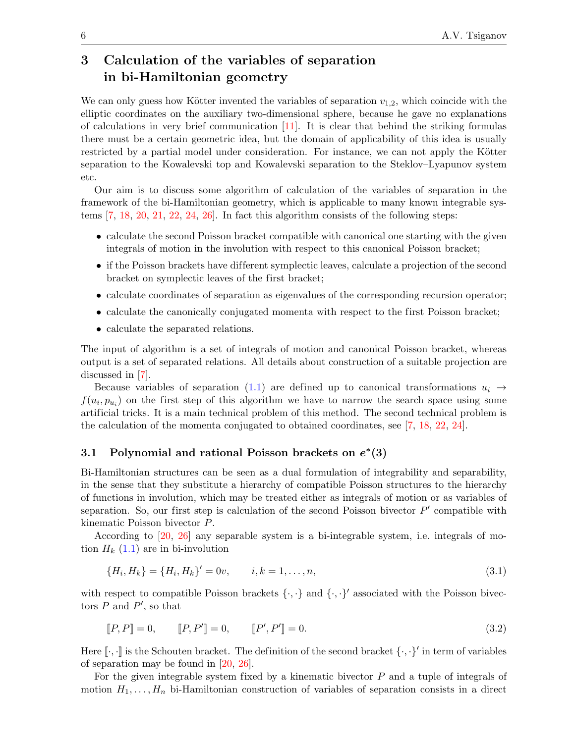## 3 Calculation of the variables of separation in bi-Hamiltonian geometry

We can only guess how Kötter invented the variables of separation  $v_{1,2}$ , which coincide with the elliptic coordinates on the auxiliary two-dimensional sphere, because he gave no explanations of calculations in very brief communication  $[11]$ . It is clear that behind the striking formulas there must be a certain geometric idea, but the domain of applicability of this idea is usually restricted by a partial model under consideration. For instance, we can not apply the Kötter separation to the Kowalevski top and Kowalevski separation to the Steklov–Lyapunov system etc.

Our aim is to discuss some algorithm of calculation of the variables of separation in the framework of the bi-Hamiltonian geometry, which is applicable to many known integrable systems [\[7,](#page-12-7) [18,](#page-13-2) [20,](#page-13-10) [21,](#page-13-11) [22,](#page-13-3) [24,](#page-13-4) [26\]](#page-13-12). In fact this algorithm consists of the following steps:

- calculate the second Poisson bracket compatible with canonical one starting with the given integrals of motion in the involution with respect to this canonical Poisson bracket;
- if the Poisson brackets have different symplectic leaves, calculate a projection of the second bracket on symplectic leaves of the first bracket;
- calculate coordinates of separation as eigenvalues of the corresponding recursion operator;
- calculate the canonically conjugated momenta with respect to the first Poisson bracket;
- calculate the separated relations.

The input of algorithm is a set of integrals of motion and canonical Poisson bracket, whereas output is a set of separated relations. All details about construction of a suitable projection are discussed in [\[7\]](#page-12-7).

Because variables of separation [\(1.1\)](#page-0-0) are defined up to canonical transformations  $u_i \rightarrow$  $f(u_i, p_{u_i})$  on the first step of this algorithm we have to narrow the search space using some artificial tricks. It is a main technical problem of this method. The second technical problem is the calculation of the momenta conjugated to obtained coordinates, see [\[7,](#page-12-7) [18,](#page-13-2) [22,](#page-13-3) [24\]](#page-13-4).

## 3.1 Polynomial and rational Poisson brackets on  $e^*(3)$

Bi-Hamiltonian structures can be seen as a dual formulation of integrability and separability, in the sense that they substitute a hierarchy of compatible Poisson structures to the hierarchy of functions in involution, which may be treated either as integrals of motion or as variables of separation. So, our first step is calculation of the second Poisson bivector  $P'$  compatible with kinematic Poisson bivector P.

According to [\[20,](#page-13-10) [26\]](#page-13-12) any separable system is a bi-integrable system, i.e. integrals of motion  $H_k$  [\(1.1\)](#page-0-0) are in bi-involution

<span id="page-5-0"></span>
$$
\{H_i, H_k\} = \{H_i, H_k\}' = 0v, \qquad i, k = 1, \dots, n,
$$
\n(3.1)

with respect to compatible Poisson brackets  $\{\cdot,\cdot\}$  and  $\{\cdot,\cdot\}'$  associated with the Poisson bivectors  $P$  and  $P'$ , so that

<span id="page-5-1"></span>
$$
[[P, P]] = 0, \qquad [[P, P']] = 0, \qquad [[P', P']] = 0. \tag{3.2}
$$

Here  $[\cdot,\cdot]$  is the Schouten bracket. The definition of the second bracket  $\{\cdot,\cdot\}'$  in term of variables of separation may be found in [\[20,](#page-13-10) [26\]](#page-13-12).

For the given integrable system fixed by a kinematic bivector  $P$  and a tuple of integrals of motion  $H_1, \ldots, H_n$  bi-Hamiltonian construction of variables of separation consists in a direct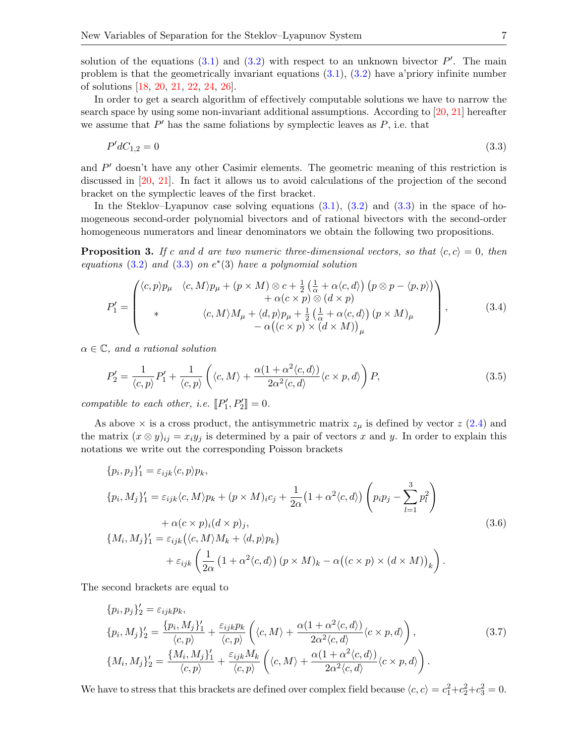solution of the equations  $(3.1)$  and  $(3.2)$  with respect to an unknown bivector  $P'$ . The main problem is that the geometrically invariant equations [\(3.1\)](#page-5-0), [\(3.2\)](#page-5-1) have a'priory infinite number of solutions [\[18,](#page-13-2) [20,](#page-13-10) [21,](#page-13-11) [22,](#page-13-3) [24,](#page-13-4) [26\]](#page-13-12).

In order to get a search algorithm of effectively computable solutions we have to narrow the search space by using some non-invariant additional assumptions. According to [\[20,](#page-13-10) [21\]](#page-13-11) hereafter we assume that  $P'$  has the same foliations by symplectic leaves as  $P$ , i.e. that

<span id="page-6-0"></span>
$$
P' dC_{1,2} = 0 \tag{3.3}
$$

and  $P'$  doesn't have any other Casimir elements. The geometric meaning of this restriction is discussed in [\[20,](#page-13-10) [21\]](#page-13-11). In fact it allows us to avoid calculations of the projection of the second bracket on the symplectic leaves of the first bracket.

In the Steklov–Lyapunov case solving equations  $(3.1)$ ,  $(3.2)$  and  $(3.3)$  in the space of homogeneous second-order polynomial bivectors and of rational bivectors with the second-order homogeneous numerators and linear denominators we obtain the following two propositions.

**Proposition 3.** If c and d are two numeric three-dimensional vectors, so that  $\langle c, c \rangle = 0$ , then equations  $(3.2)$  and  $(3.3)$  on  $e^*(3)$  have a polynomial solution

<span id="page-6-3"></span>
$$
P'_{1} = \begin{pmatrix} \langle c, p \rangle p_{\mu} & \langle c, M \rangle p_{\mu} + (p \times M) \otimes c + \frac{1}{2} \left( \frac{1}{\alpha} + \alpha \langle c, d \rangle \right) \left( p \otimes p - \langle p, p \rangle \right) \\ \qquad + \alpha (c \times p) \otimes (d \times p) \\ \ast & \langle c, M \rangle M_{\mu} + \langle d, p \rangle p_{\mu} + \frac{1}{2} \left( \frac{1}{\alpha} + \alpha \langle c, d \rangle \right) (p \times M)_{\mu} \\ - \alpha \left( (c \times p) \times (d \times M) \right)_{\mu} \end{pmatrix}, \tag{3.4}
$$

 $\alpha \in \mathbb{C}$ , and a rational solution

<span id="page-6-4"></span>
$$
P_2' = \frac{1}{\langle c, p \rangle} P_1' + \frac{1}{\langle c, p \rangle} \left( \langle c, M \rangle + \frac{\alpha (1 + \alpha^2 \langle c, d \rangle)}{2 \alpha^2 \langle c, d \rangle} \langle c \times p, d \rangle \right) P, \tag{3.5}
$$

compatible to each other, i.e.  $[\![P'_1, P'_2]\!] = 0.$ 

As above  $\times$  is a cross product, the antisymmetric matrix  $z_{\mu}$  is defined by vector  $z$  [\(2.4\)](#page-2-3) and the matrix  $(x \otimes y)_{ij} = x_i y_j$  is determined by a pair of vectors x and y. In order to explain this notations we write out the corresponding Poisson brackets

<span id="page-6-1"></span>
$$
\{p_i, p_j\}'_1 = \varepsilon_{ijk} \langle c, p \rangle p_k,
$$
  
\n
$$
\{p_i, M_j\}'_1 = \varepsilon_{ijk} \langle c, M \rangle p_k + (p \times M)_i c_j + \frac{1}{2\alpha} (1 + \alpha^2 \langle c, d \rangle) \left( p_i p_j - \sum_{l=1}^3 p_l^2 \right)
$$
  
\n
$$
+ \alpha (c \times p)_i (d \times p)_j,
$$
  
\n
$$
\{M_i, M_j\}'_1 = \varepsilon_{ijk} (\langle c, M \rangle M_k + \langle d, p \rangle p_k)
$$
  
\n
$$
+ \varepsilon_{ijk} \left( \frac{1}{2\alpha} (1 + \alpha^2 \langle c, d \rangle) (p \times M)_k - \alpha ((c \times p) \times (d \times M))_k \right).
$$
  
\n(3.6)

The second brackets are equal to

<span id="page-6-2"></span>
$$
\{p_i, p_j\}'_2 = \varepsilon_{ijk} p_k,
$$
  
\n
$$
\{p_i, M_j\}'_2 = \frac{\{p_i, M_j\}'_1}{\langle c, p \rangle} + \frac{\varepsilon_{ijk} p_k}{\langle c, p \rangle} \left(\langle c, M \rangle + \frac{\alpha(1 + \alpha^2 \langle c, d \rangle)}{2\alpha^2 \langle c, d \rangle} \langle c \times p, d \rangle \right),
$$
  
\n
$$
\{M_i, M_j\}'_2 = \frac{\{M_i, M_j\}'_1}{\langle c, p \rangle} + \frac{\varepsilon_{ijk} M_k}{\langle c, p \rangle} \left(\langle c, M \rangle + \frac{\alpha(1 + \alpha^2 \langle c, d \rangle)}{2\alpha^2 \langle c, d \rangle} \langle c \times p, d \rangle \right).
$$
\n(3.7)

We have to stress that this brackets are defined over complex field because  $\langle c, c \rangle = c_1^2 + c_2^2 + c_3^2 = 0$ .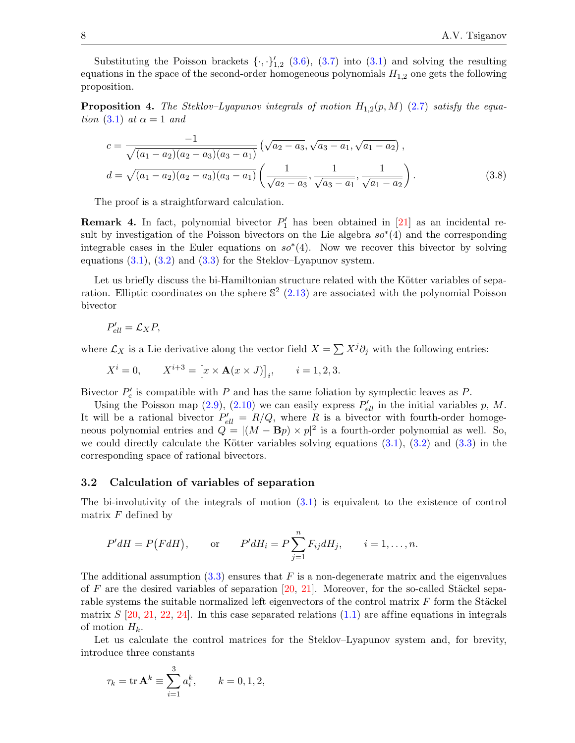Substituting the Poisson brackets  $\{\cdot, \cdot\}'_{1,2}$  [\(3.6\)](#page-6-1), [\(3.7\)](#page-6-2) into [\(3.1\)](#page-5-0) and solving the resulting equations in the space of the second-order homogeneous polynomials  $H_{1,2}$  one gets the following proposition.

**Proposition 4.** The Steklov–Lyapunov integrals of motion  $H_{1,2}(p, M)$  [\(2.7\)](#page-2-1) satisfy the equa-tion [\(3.1\)](#page-5-0) at  $\alpha = 1$  and

<span id="page-7-0"></span>
$$
c = \frac{-1}{\sqrt{(a_1 - a_2)(a_2 - a_3)(a_3 - a_1)}} \left(\sqrt{a_2 - a_3}, \sqrt{a_3 - a_1}, \sqrt{a_1 - a_2}\right),
$$
  

$$
d = \sqrt{(a_1 - a_2)(a_2 - a_3)(a_3 - a_1)} \left(\frac{1}{\sqrt{a_2 - a_3}}, \frac{1}{\sqrt{a_3 - a_1}}, \frac{1}{\sqrt{a_1 - a_2}}\right).
$$
 (3.8)

The proof is a straightforward calculation.

**Remark 4.** In fact, polynomial bivector  $P'_1$  has been obtained in [\[21\]](#page-13-11) as an incidental result by investigation of the Poisson bivectors on the Lie algebra  $so^*(4)$  and the corresponding integrable cases in the Euler equations on  $so^*(4)$ . Now we recover this bivector by solving equations  $(3.1)$ ,  $(3.2)$  and  $(3.3)$  for the Steklov–Lyapunov system.

Let us briefly discuss the bi-Hamiltonian structure related with the Kötter variables of separation. Elliptic coordinates on the sphere  $\mathbb{S}^2$  [\(2.13\)](#page-4-3) are associated with the polynomial Poisson bivector

$$
P'_{ell} = \mathcal{L}_X P,
$$

where  $\mathcal{L}_X$  is a Lie derivative along the vector field  $X = \sum X^j \partial_j$  with the following entries:

$$
X^{i} = 0,
$$
  $X^{i+3} = [x \times \mathbf{A}(x \times J)]_{i}, \quad i = 1, 2, 3.$ 

Bivector  $P'_e$  is compatible with P and has the same foliation by symplectic leaves as P.

Using the Poisson map [\(2.9\)](#page-3-0), [\(2.10\)](#page-4-2) we can easily express  $P'_{ell}$  in the initial variables p, M. It will be a rational bivector  $P'_{ell} = R/Q$ , where R is a bivector with fourth-order homogeneous polynomial entries and  $Q = |(M - \mathbf{B}p) \times p|^2$  is a fourth-order polynomial as well. So, we could directly calculate the Kötter variables solving equations  $(3.1)$ ,  $(3.2)$  and  $(3.3)$  in the corresponding space of rational bivectors.

#### 3.2 Calculation of variables of separation

The bi-involutivity of the integrals of motion [\(3.1\)](#page-5-0) is equivalent to the existence of control matrix  $F$  defined by

$$
P'dH = P(FdH)
$$
, or  $P'dH_i = P\sum_{j=1}^{n} F_{ij}dH_j$ ,  $i = 1,...,n$ .

The additional assumption  $(3.3)$  ensures that F is a non-degenerate matrix and the eigenvalues of F are the desired variables of separation  $[20, 21]$  $[20, 21]$  $[20, 21]$ . Moreover, for the so-called Stäckel separable systems the suitable normalized left eigenvectors of the control matrix  $F$  form the Stäckel matrix  $S$  [\[20,](#page-13-10) [21,](#page-13-11) [22,](#page-13-3) [24\]](#page-13-4). In this case separated relations [\(1.1\)](#page-0-0) are affine equations in integrals of motion  $H_k$ .

Let us calculate the control matrices for the Steklov–Lyapunov system and, for brevity, introduce three constants

$$
\tau_k = \text{tr}\,\mathbf{A}^k \equiv \sum_{i=1}^3 a_i^k, \qquad k = 0, 1, 2,
$$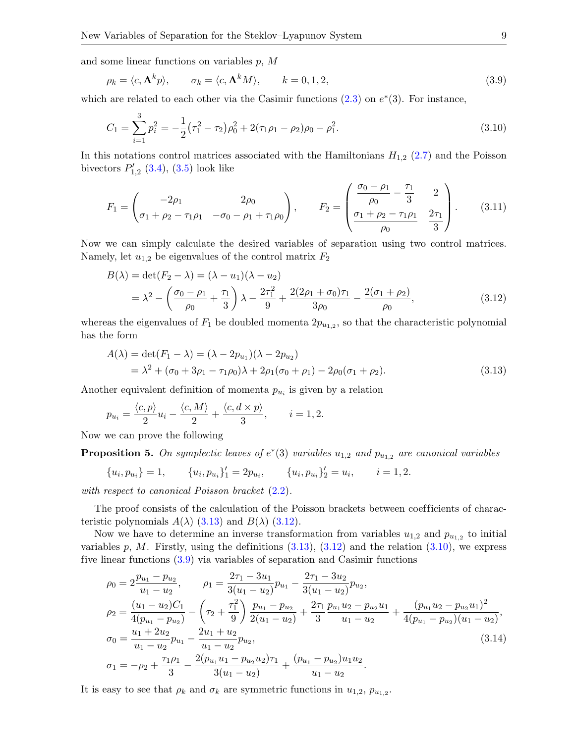and some linear functions on variables  $p$ ,  $M$ 

<span id="page-8-3"></span>
$$
\rho_k = \langle c, \mathbf{A}^k p \rangle, \qquad \sigma_k = \langle c, \mathbf{A}^k M \rangle, \qquad k = 0, 1, 2,
$$
\n(3.9)

which are related to each other via the Casimir functions  $(2.3)$  on  $e^*(3)$ . For instance,

<span id="page-8-2"></span>
$$
C_1 = \sum_{i=1}^{3} p_i^2 = -\frac{1}{2} (\tau_1^2 - \tau_2) \rho_0^2 + 2(\tau_1 \rho_1 - \rho_2) \rho_0 - \rho_1^2.
$$
\n(3.10)

In this notations control matrices associated with the Hamiltonians  $H_{1,2}$  [\(2.7\)](#page-2-1) and the Poisson bivectors  $P'_{1,2}$  [\(3.4\)](#page-6-3), [\(3.5\)](#page-6-4) look like

<span id="page-8-4"></span>
$$
F_1 = \begin{pmatrix} -2\rho_1 & 2\rho_0 \\ \sigma_1 + \rho_2 - \tau_1 \rho_1 & -\sigma_0 - \rho_1 + \tau_1 \rho_0 \end{pmatrix}, \qquad F_2 = \begin{pmatrix} \frac{\sigma_0 - \rho_1}{\rho_0} - \frac{\tau_1}{3} & 2 \\ \frac{\sigma_1 + \rho_2 - \tau_1 \rho_1}{\rho_0} & \frac{2\tau_1}{3} \end{pmatrix}.
$$
 (3.11)

Now we can simply calculate the desired variables of separation using two control matrices. Namely, let  $u_{1,2}$  be eigenvalues of the control matrix  $F_2$ 

<span id="page-8-1"></span>
$$
B(\lambda) = \det(F_2 - \lambda) = (\lambda - u_1)(\lambda - u_2)
$$
  
=  $\lambda^2 - \left(\frac{\sigma_0 - \rho_1}{\rho_0} + \frac{\tau_1}{3}\right)\lambda - \frac{2\tau_1^2}{9} + \frac{2(2\rho_1 + \sigma_0)\tau_1}{3\rho_0} - \frac{2(\sigma_1 + \rho_2)}{\rho_0},$  (3.12)

whereas the eigenvalues of  $F_1$  be doubled momenta  $2p_{u_{1,2}}$ , so that the characteristic polynomial has the form

$$
A(\lambda) = \det(F_1 - \lambda) = (\lambda - 2p_{u_1})(\lambda - 2p_{u_2})
$$
  
=  $\lambda^2 + (\sigma_0 + 3\rho_1 - \tau_1\rho_0)\lambda + 2\rho_1(\sigma_0 + \rho_1) - 2\rho_0(\sigma_1 + \rho_2).$  (3.13)

Another equivalent definition of momenta  $p_{u_i}$  is given by a relation

<span id="page-8-0"></span>
$$
p_{u_i} = \frac{\langle c, p \rangle}{2} u_i - \frac{\langle c, M \rangle}{2} + \frac{\langle c, d \times p \rangle}{3}, \qquad i = 1, 2.
$$

Now we can prove the following

**Proposition 5.** On symplectic leaves of  $e^*(3)$  variables  $u_{1,2}$  and  $p_{u_{1,2}}$  are canonical variables

$$
\{u_i, p_{u_i}\} = 1, \qquad \{u_i, p_{u_i}\}'_1 = 2p_{u_i}, \qquad \{u_i, p_{u_i}\}'_2 = u_i, \qquad i = 1, 2.
$$

with respect to canonical Poisson bracket  $(2.2)$ .

The proof consists of the calculation of the Poisson brackets between coefficients of characteristic polynomials  $A(\lambda)$  [\(3.13\)](#page-8-0) and  $B(\lambda)$  [\(3.12\)](#page-8-1).

Now we have to determine an inverse transformation from variables  $u_{1,2}$  and  $p_{u_{1,2}}$  to initial variables p, M. Firstly, using the definitions  $(3.13)$ ,  $(3.12)$  and the relation  $(3.10)$ , we express five linear functions [\(3.9\)](#page-8-3) via variables of separation and Casimir functions

<span id="page-8-5"></span>
$$
\rho_0 = 2 \frac{p_{u_1} - p_{u_2}}{u_1 - u_2}, \qquad \rho_1 = \frac{2\tau_1 - 3u_1}{3(u_1 - u_2)} p_{u_1} - \frac{2\tau_1 - 3u_2}{3(u_1 - u_2)} p_{u_2},
$$
  
\n
$$
\rho_2 = \frac{(u_1 - u_2)C_1}{4(p_{u_1} - p_{u_2})} - \left(\tau_2 + \frac{\tau_1^2}{9}\right) \frac{p_{u_1} - p_{u_2}}{2(u_1 - u_2)} + \frac{2\tau_1}{3} \frac{p_{u_1}u_2 - p_{u_2}u_1}{u_1 - u_2} + \frac{(p_{u_1}u_2 - p_{u_2}u_1)^2}{4(p_{u_1} - p_{u_2})(u_1 - u_2)},
$$
  
\n
$$
\sigma_0 = \frac{u_1 + 2u_2}{u_1 - u_2} p_{u_1} - \frac{2u_1 + u_2}{u_1 - u_2} p_{u_2},
$$
  
\n
$$
\sigma_1 = -\rho_2 + \frac{\tau_1 \rho_1}{3} - \frac{2(p_{u_1}u_1 - p_{u_2}u_2)\tau_1}{3(u_1 - u_2)} + \frac{(p_{u_1} - p_{u_2})u_1u_2}{u_1 - u_2}.
$$
\n(3.14)

It is easy to see that  $\rho_k$  and  $\sigma_k$  are symmetric functions in  $u_{1,2}, p_{u_{1,2}}$ .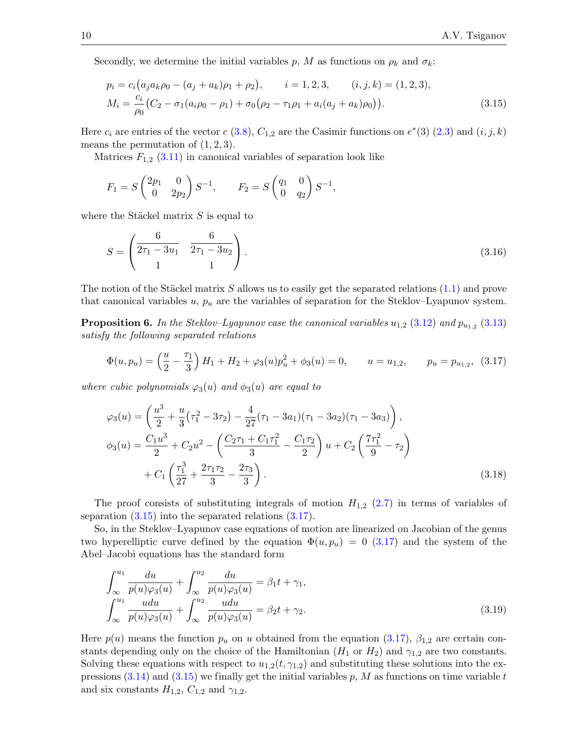Secondly, we determine the initial variables p, M as functions on  $\rho_k$  and  $\sigma_k$ :

<span id="page-9-0"></span>
$$
p_i = c_i (a_j a_k \rho_0 - (a_j + a_k) \rho_1 + \rho_2), \qquad i = 1, 2, 3, \qquad (i, j, k) = (1, 2, 3),
$$
  
\n
$$
M_i = \frac{c_i}{\rho_0} (C_2 - \sigma_1 (a_i \rho_0 - \rho_1) + \sigma_0 (\rho_2 - \tau_1 \rho_1 + a_i (a_j + a_k) \rho_0)).
$$
\n(3.15)

Here  $c_i$  are entries of the vector  $c(3.8)$  $c(3.8)$ ,  $C_{1,2}$  are the Casimir functions on  $e^*(3)(2.3)$  $e^*(3)(2.3)$  and  $(i, j, k)$ means the permutation of  $(1, 2, 3)$ .

Matrices  $F_{1,2}$  [\(3.11\)](#page-8-4) in canonical variables of separation look like

$$
F_1 = S \begin{pmatrix} 2p_1 & 0 \\ 0 & 2p_2 \end{pmatrix} S^{-1}, \qquad F_2 = S \begin{pmatrix} q_1 & 0 \\ 0 & q_2 \end{pmatrix} S^{-1},
$$

where the Stäckel matrix  $S$  is equal to

<span id="page-9-3"></span>
$$
S = \begin{pmatrix} \frac{6}{2\tau_1 - 3u_1} & \frac{6}{2\tau_1 - 3u_2} \\ 1 & 1 \end{pmatrix}.
$$
 (3.16)

The notion of the Stäckel matrix S allows us to easily get the separated relations  $(1.1)$  and prove that canonical variables  $u, p_u$  are the variables of separation for the Steklov–Lyapunov system.

**Proposition 6.** In the Steklov-Lyapunov case the canonical variables  $u_{1,2}$  [\(3.12\)](#page-8-1) and  $p_{u_{1,2}}$  [\(3.13\)](#page-8-0) satisfy the following separated relations

<span id="page-9-1"></span>
$$
\Phi(u, p_u) = \left(\frac{u}{2} - \frac{\tau_1}{3}\right)H_1 + H_2 + \varphi_3(u)p_u^2 + \phi_3(u) = 0, \qquad u = u_{1,2}, \qquad p_u = p_{u_{1,2}}, \tag{3.17}
$$

where cubic polynomials  $\varphi_3(u)$  and  $\phi_3(u)$  are equal to

<span id="page-9-4"></span>
$$
\varphi_3(u) = \left(\frac{u^3}{2} + \frac{u}{3}(\tau_1^2 - 3\tau_2) - \frac{4}{27}(\tau_1 - 3a_1)(\tau_1 - 3a_2)(\tau_1 - 3a_3)\right),
$$
  
\n
$$
\phi_3(u) = \frac{C_1 u^3}{2} + C_2 u^2 - \left(\frac{C_2 \tau_1 + C_1 \tau_1^2}{3} - \frac{C_1 \tau_2}{2}\right) u + C_2 \left(\frac{7\tau_1^2}{9} - \tau_2\right)
$$
  
\n
$$
+ C_1 \left(\frac{\tau_1^3}{27} + \frac{2\tau_1 \tau_2}{3} - \frac{2\tau_3}{3}\right).
$$
\n(3.18)

The proof consists of substituting integrals of motion  $H_{1,2}$  [\(2.7\)](#page-2-1) in terms of variables of separation  $(3.15)$  into the separated relations  $(3.17)$ .

So, in the Steklov–Lyapunov case equations of motion are linearized on Jacobian of the genus two hyperelliptic curve defined by the equation  $\Phi(u, p_u) = 0$  [\(3.17\)](#page-9-1) and the system of the Abel–Jacobi equations has the standard form

<span id="page-9-2"></span>
$$
\int_{\infty}^{u_1} \frac{du}{p(u)\varphi_3(u)} + \int_{\infty}^{u_2} \frac{du}{p(u)\varphi_3(u)} = \beta_1 t + \gamma_1,\n\int_{\infty}^{u_1} \frac{udu}{p(u)\varphi_3(u)} + \int_{\infty}^{u_2} \frac{udu}{p(u)\varphi_3(u)} = \beta_2 t + \gamma_2.
$$
\n(3.19)

Here  $p(u)$  means the function  $p_u$  on u obtained from the equation [\(3.17\)](#page-9-1),  $\beta_{1,2}$  are certain constants depending only on the choice of the Hamiltonian  $(H_1 \text{ or } H_2)$  and  $\gamma_{1,2}$  are two constants. Solving these equations with respect to  $u_{1,2}(t, \gamma_{1,2})$  and substituting these solutions into the expressions  $(3.14)$  and  $(3.15)$  we finally get the initial variables p, M as functions on time variable t and six constants  $H_{1,2}$ ,  $C_{1,2}$  and  $\gamma_{1,2}$ .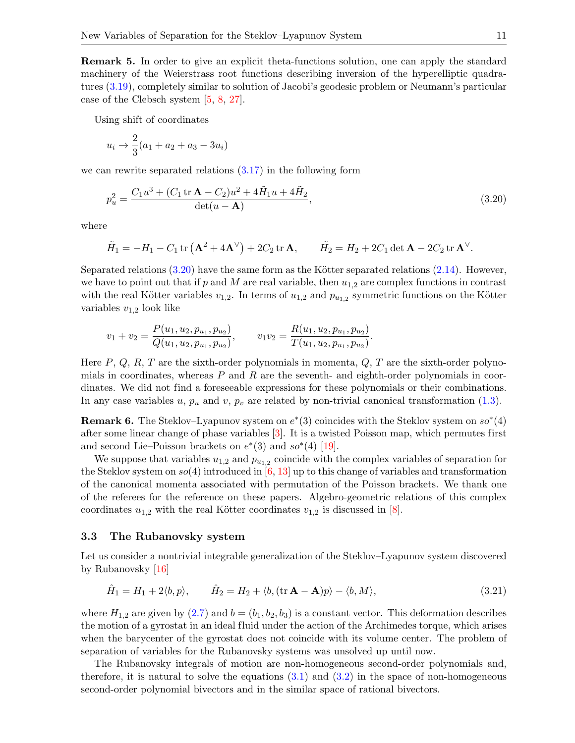Remark 5. In order to give an explicit theta-functions solution, one can apply the standard machinery of the Weierstrass root functions describing inversion of the hyperelliptic quadratures [\(3.19\)](#page-9-2), completely similar to solution of Jacobi's geodesic problem or Neumann's particular case of the Clebsch system [\[5,](#page-12-0) [8,](#page-12-6) [27\]](#page-13-13).

Using shift of coordinates

$$
u_i \to \frac{2}{3}(a_1 + a_2 + a_3 - 3u_i)
$$

we can rewrite separated relations [\(3.17\)](#page-9-1) in the following form

<span id="page-10-0"></span>
$$
p_u^2 = \frac{C_1 u^3 + (C_1 \text{ tr } \mathbf{A} - C_2) u^2 + 4 \tilde{H}_1 u + 4 \tilde{H}_2}{\det(u - \mathbf{A})},
$$
(3.20)

where

$$
\tilde{H}_1 = -H_1 - C_1 \operatorname{tr} \left( \mathbf{A}^2 + 4\mathbf{A}^{\vee} \right) + 2C_2 \operatorname{tr} \mathbf{A}, \qquad \tilde{H}_2 = H_2 + 2C_1 \operatorname{det} \mathbf{A} - 2C_2 \operatorname{tr} \mathbf{A}^{\vee}.
$$

Separated relations  $(3.20)$  have the same form as the Kötter separated relations  $(2.14)$ . However, we have to point out that if p and M are real variable, then  $u_{1,2}$  are complex functions in contrast with the real Kötter variables  $v_{1,2}$ . In terms of  $u_{1,2}$  and  $p_{u_{1,2}}$  symmetric functions on the Kötter variables  $v_{1,2}$  look like

$$
v_1 + v_2 = \frac{P(u_1, u_2, p_{u_1}, p_{u_2})}{Q(u_1, u_2, p_{u_1}, p_{u_2})}, \qquad v_1 v_2 = \frac{R(u_1, u_2, p_{u_1}, p_{u_2})}{T(u_1, u_2, p_{u_1}, p_{u_2})}.
$$

Here  $P, Q, R, T$  are the sixth-order polynomials in momenta,  $Q, T$  are the sixth-order polynomials in coordinates, whereas  $P$  and  $R$  are the seventh- and eighth-order polynomials in coordinates. We did not find a foreseeable expressions for these polynomials or their combinations. In any case variables u,  $p_u$  and v,  $p_v$  are related by non-trivial canonical transformation [\(1.3\)](#page-1-1).

**Remark 6.** The Steklov–Lyapunov system on  $e^*(3)$  coincides with the Steklov system on  $so^*(4)$ after some linear change of phase variables [\[3\]](#page-12-8). It is a twisted Poisson map, which permutes first and second Lie–Poisson brackets on  $e^*(3)$  and  $so^*(4)$  [\[19\]](#page-13-14).

We suppose that variables  $u_{1,2}$  and  $p_{u_{1,2}}$  coincide with the complex variables of separation for the Steklov system on  $so(4)$  introduced in  $[6, 13]$  $[6, 13]$  $[6, 13]$  up to this change of variables and transformation of the canonical momenta associated with permutation of the Poisson brackets. We thank one of the referees for the reference on these papers. Algebro-geometric relations of this complex coordinates  $u_{1,2}$  with the real Kötter coordinates  $v_{1,2}$  is discussed in [\[8\]](#page-12-6).

#### 3.3 The Rubanovsky system

Let us consider a nontrivial integrable generalization of the Steklov–Lyapunov system discovered by Rubanovsky [\[16\]](#page-13-16)

<span id="page-10-1"></span>
$$
\hat{H}_1 = H_1 + 2\langle b, p \rangle, \qquad \hat{H}_2 = H_2 + \langle b, (\text{tr } \mathbf{A} - \mathbf{A})p \rangle - \langle b, M \rangle, \tag{3.21}
$$

where  $H_{1,2}$  are given by  $(2.7)$  and  $b = (b_1, b_2, b_3)$  is a constant vector. This deformation describes the motion of a gyrostat in an ideal fluid under the action of the Archimedes torque, which arises when the barycenter of the gyrostat does not coincide with its volume center. The problem of separation of variables for the Rubanovsky systems was unsolved up until now.

The Rubanovsky integrals of motion are non-homogeneous second-order polynomials and, therefore, it is natural to solve the equations  $(3.1)$  and  $(3.2)$  in the space of non-homogeneous second-order polynomial bivectors and in the similar space of rational bivectors.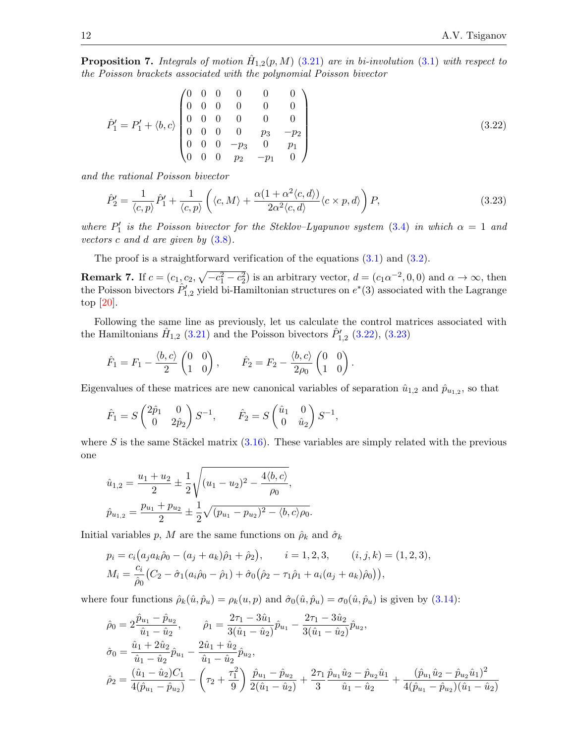**Proposition 7.** Integrals of motion  $\hat{H}_{1,2}(p,M)$  [\(3.21\)](#page-10-1) are in bi-involution [\(3.1\)](#page-5-0) with respect to the Poisson brackets associated with the polynomial Poisson bivector

<span id="page-11-0"></span>
$$
\hat{P}'_1 = P'_1 + \langle b, c \rangle \begin{pmatrix} 0 & 0 & 0 & 0 & 0 & 0 \\ 0 & 0 & 0 & 0 & 0 & 0 \\ 0 & 0 & 0 & 0 & 0 & 0 \\ 0 & 0 & 0 & 0 & p_3 & -p_2 \\ 0 & 0 & 0 & -p_3 & 0 & p_1 \\ 0 & 0 & 0 & p_2 & -p_1 & 0 \end{pmatrix}
$$
(3.22)

and the rational Poisson bivector

<span id="page-11-1"></span>
$$
\hat{P}_2' = \frac{1}{\langle c, p \rangle} \hat{P}_1' + \frac{1}{\langle c, p \rangle} \left( \langle c, M \rangle + \frac{\alpha (1 + \alpha^2 \langle c, d \rangle)}{2 \alpha^2 \langle c, d \rangle} \langle c \times p, d \rangle \right) P, \tag{3.23}
$$

where  $P'_1$  is the Poisson bivector for the Steklov-Lyapunov system [\(3.4\)](#page-6-3) in which  $\alpha = 1$  and vectors c and d are given by  $(3.8)$ .

The proof is a straightforward verification of the equations [\(3.1\)](#page-5-0) and [\(3.2\)](#page-5-1).

**Remark 7.** If  $c = (c_1, c_2, \sqrt{-c_1^2 - c_2^2})$  is an arbitrary vector,  $d = (c_1 \alpha^{-2}, 0, 0)$  and  $\alpha \to \infty$ , then the Poisson bivectors  $\hat{P}'_{1,2}$  yield bi-Hamiltonian structures on  $e^*(3)$  associated with the Lagrange top [\[20\]](#page-13-10).

Following the same line as previously, let us calculate the control matrices associated with the Hamiltonians  $\hat{H}_{1,2}$  [\(3.21\)](#page-10-1) and the Poisson bivectors  $\hat{P}'_{1,2}$  [\(3.22\)](#page-11-0), [\(3.23\)](#page-11-1)

$$
\hat{F}_1 = F_1 - \frac{\langle b, c \rangle}{2} \begin{pmatrix} 0 & 0 \\ 1 & 0 \end{pmatrix}, \qquad \hat{F}_2 = F_2 - \frac{\langle b, c \rangle}{2\rho_0} \begin{pmatrix} 0 & 0 \\ 1 & 0 \end{pmatrix}.
$$

Eigenvalues of these matrices are new canonical variables of separation  $\hat{u}_{1,2}$  and  $\hat{p}_{u_{1,2}}$ , so that

$$
\hat{F}_1 = S \begin{pmatrix} 2\hat{p}_1 & 0 \\ 0 & 2\hat{p}_2 \end{pmatrix} S^{-1}, \qquad \hat{F}_2 = S \begin{pmatrix} \hat{u}_1 & 0 \\ 0 & \hat{u}_2 \end{pmatrix} S^{-1},
$$

where S is the same Stäckel matrix  $(3.16)$ . These variables are simply related with the previous one

$$
\hat{u}_{1,2} = \frac{u_1 + u_2}{2} \pm \frac{1}{2} \sqrt{(u_1 - u_2)^2 - \frac{4 \langle b, c \rangle}{\rho_0}},
$$
  

$$
\hat{p}_{u_{1,2}} = \frac{p_{u_1} + p_{u_2}}{2} \pm \frac{1}{2} \sqrt{(p_{u_1} - p_{u_2})^2 - \langle b, c \rangle \rho_0}.
$$

Initial variables p, M are the same functions on  $\hat{\rho}_k$  and  $\hat{\sigma}_k$ 

$$
p_i = c_i (a_j a_k \hat{\rho}_0 - (a_j + a_k) \hat{\rho}_1 + \hat{\rho}_2), \qquad i = 1, 2, 3, \qquad (i, j, k) = (1, 2, 3),
$$
  
\n
$$
M_i = \frac{c_i}{\hat{\rho}_0} (C_2 - \hat{\sigma}_1 (a_i \hat{\rho}_0 - \hat{\rho}_1) + \hat{\sigma}_0 (\hat{\rho}_2 - \tau_1 \hat{\rho}_1 + a_i (a_j + a_k) \hat{\rho}_0)),
$$

where four functions  $\hat{\rho}_k(\hat{u}, \hat{p}_u) = \rho_k(u, p)$  and  $\hat{\sigma}_0(\hat{u}, \hat{p}_u) = \sigma_0(\hat{u}, \hat{p}_u)$  is given by  $(3.14)$ :

$$
\hat{\rho}_0 = 2 \frac{\hat{p}_{u_1} - \hat{p}_{u_2}}{\hat{u}_1 - \hat{u}_2}, \qquad \hat{\rho}_1 = \frac{2\tau_1 - 3\hat{u}_1}{3(\hat{u}_1 - \hat{u}_2)} \hat{p}_{u_1} - \frac{2\tau_1 - 3\hat{u}_2}{3(\hat{u}_1 - \hat{u}_2)} \hat{p}_{u_2},
$$
\n
$$
\hat{\sigma}_0 = \frac{\hat{u}_1 + 2\hat{u}_2}{\hat{u}_1 - \hat{u}_2} \hat{p}_{u_1} - \frac{2\hat{u}_1 + \hat{u}_2}{\hat{u}_1 - \hat{u}_2} \hat{p}_{u_2},
$$
\n
$$
\hat{\rho}_2 = \frac{(\hat{u}_1 - \hat{u}_2)C_1}{4(\hat{p}_{u_1} - \hat{p}_{u_2})} - (\tau_2 + \frac{\tau_1^2}{9}) \frac{\hat{p}_{u_1} - \hat{p}_{u_2}}{2(\hat{u}_1 - \hat{u}_2)} + \frac{2\tau_1}{3} \frac{\hat{p}_{u_1}\hat{u}_2 - \hat{p}_{u_2}\hat{u}_1}{\hat{u}_1 - \hat{u}_2} + \frac{(\hat{p}_{u_1}\hat{u}_2 - \hat{p}_{u_2}\hat{u}_1)^2}{4(\hat{p}_{u_1} - \hat{p}_{u_2})(\hat{u}_1 - \hat{u}_2)}
$$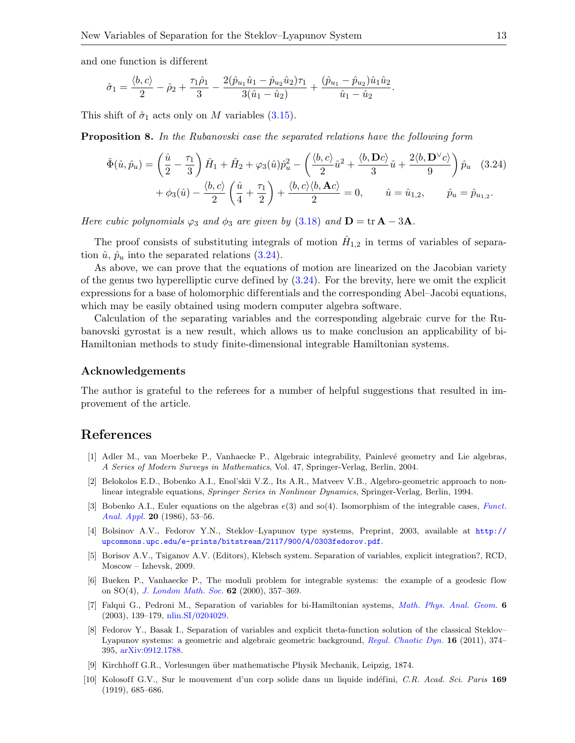and one function is different

$$
\hat{\sigma}_1 = \frac{\langle b, c \rangle}{2} - \hat{\rho}_2 + \frac{\tau_1 \hat{\rho}_1}{3} - \frac{2(\hat{p}_{u_1} \hat{u}_1 - \hat{p}_{u_2} \hat{u}_2)\tau_1}{3(\hat{u}_1 - \hat{u}_2)} + \frac{(\hat{p}_{u_1} - \hat{p}_{u_2})\hat{u}_1 \hat{u}_2}{\hat{u}_1 - \hat{u}_2}.
$$

This shift of  $\hat{\sigma}_1$  acts only on M variables [\(3.15\)](#page-9-0).

**Proposition 8.** In the Rubanovski case the separated relations have the following form

<span id="page-12-10"></span>
$$
\hat{\Phi}(\hat{u}, \hat{p}_u) = \left(\frac{\hat{u}}{2} - \frac{\tau_1}{3}\right)\hat{H}_1 + \hat{H}_2 + \varphi_3(\hat{u})\hat{p}_u^2 - \left(\frac{\langle b, c \rangle}{2}\hat{u}^2 + \frac{\langle b, \mathbf{D}c \rangle}{3}\hat{u} + \frac{2\langle b, \mathbf{D}^{\vee}c \rangle}{9}\right)\hat{p}_u
$$
\n
$$
+ \phi_3(\hat{u}) - \frac{\langle b, c \rangle}{2}\left(\frac{\hat{u}}{4} + \frac{\tau_1}{2}\right) + \frac{\langle b, c \rangle \langle b, \mathbf{A}c \rangle}{2} = 0, \qquad \hat{u} = \hat{u}_{1,2}, \qquad \hat{p}_u = \hat{p}_{u_{1,2}}.
$$
\n(3.24)

Here cubic polynomials  $\varphi_3$  and  $\phi_3$  are given by [\(3.18\)](#page-9-4) and  $\mathbf{D} = \text{tr} \mathbf{A} - 3\mathbf{A}$ .

The proof consists of substituting integrals of motion  $\hat{H}_{1,2}$  in terms of variables of separation  $\hat{u}$ ,  $\hat{p}_u$  into the separated relations [\(3.24\)](#page-12-10).

As above, we can prove that the equations of motion are linearized on the Jacobian variety of the genus two hyperelliptic curve defined by  $(3.24)$ . For the brevity, here we omit the explicit expressions for a base of holomorphic differentials and the corresponding Abel–Jacobi equations, which may be easily obtained using modern computer algebra software.

Calculation of the separating variables and the corresponding algebraic curve for the Rubanovski gyrostat is a new result, which allows us to make conclusion an applicability of bi-Hamiltonian methods to study finite-dimensional integrable Hamiltonian systems.

#### Acknowledgements

The author is grateful to the referees for a number of helpful suggestions that resulted in improvement of the article.

## References

- <span id="page-12-1"></span>[1] Adler M., van Moerbeke P., Vanhaecke P., Algebraic integrability, Painlev´e geometry and Lie algebras, A Series of Modern Surveys in Mathematics, Vol. 47, Springer-Verlag, Berlin, 2004.
- <span id="page-12-2"></span>[2] Belokolos E.D., Bobenko A.I., Enol'skii V.Z., Its A.R., Matveev V.B., Algebro-geometric approach to nonlinear integrable equations, Springer Series in Nonlinear Dynamics, Springer-Verlag, Berlin, 1994.
- <span id="page-12-8"></span>[3] Bobenko A.I., Euler equations on the algebras  $e(3)$  and so(4). Isomorphism of the integrable cases, [Funct.](http://dx.doi.org/10.1007/BF01077316) [Anal. Appl.](http://dx.doi.org/10.1007/BF01077316) 20 (1986), 53–56.
- <span id="page-12-5"></span>[4] Bolsinov A.V., Fedorov Y.N., Steklov–Lyapunov type systems, Preprint, 2003, available at [http://](http://upcommons.upc.edu/e-prints/bitstream/2117/900/4/0303fedorov.pdf) [upcommons.upc.edu/e-prints/bitstream/2117/900/4/0303fedorov.pdf](http://upcommons.upc.edu/e-prints/bitstream/2117/900/4/0303fedorov.pdf).
- <span id="page-12-0"></span>[5] Borisov A.V., Tsiganov A.V. (Editors), Klebsch system. Separation of variables, explicit integration?, RCD, Moscow – Izhevsk, 2009.
- <span id="page-12-9"></span>[6] Bueken P., Vanhaecke P., The moduli problem for integrable systems: the example of a geodesic flow on  $SO(4)$ , *[J. London Math. Soc.](http://dx.doi.org/10.1112/S0024610700001253)* **62** (2000), 357-369.
- <span id="page-12-7"></span>[7] Falqui G., Pedroni M., Separation of variables for bi-Hamiltonian systems, [Math. Phys. Anal. Geom.](http://dx.doi.org/10.1023/A:1024080315471) 6 (2003), 139–179, [nlin.SI/0204029.](http://arxiv.org/abs/nlin.SI/0204029)
- <span id="page-12-6"></span>[8] Fedorov Y., Basak I., Separation of variables and explicit theta-function solution of the classical Steklov– Lyapunov systems: a geometric and algebraic geometric background, [Regul. Chaotic Dyn.](http://dx.doi.org/10.1134/S1560354711030105) 16 (2011), 374-395, [arXiv:0912.1788.](http://arxiv.org/abs/0912.1788)
- <span id="page-12-3"></span>[9] Kirchhoff G.R., Vorlesungen ¨uber mathematische Physik Mechanik, Leipzig, 1874.
- <span id="page-12-4"></span>[10] Kolosoff G.V., Sur le mouvement d'un corp solide dans un liquide indéfini, C.R. Acad. Sci. Paris 169 (1919), 685–686.